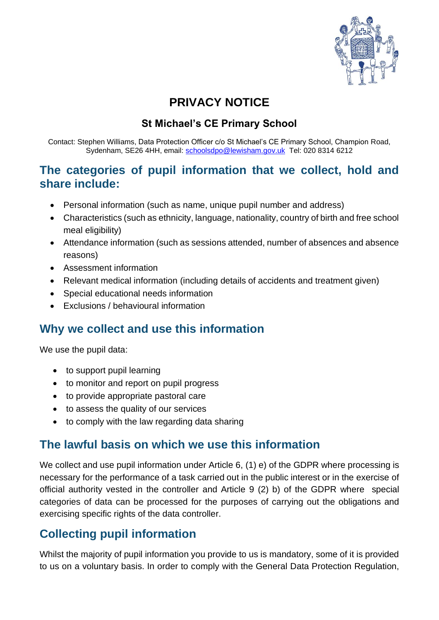

# **PRIVACY NOTICE**

#### **St Michael's CE Primary School**

Contact: Stephen Williams, Data Protection Officer c/o St Michael's CE Primary School, Champion Road, Sydenham, SE26 4HH, email: [schoolsdpo@lewisham.gov.uk](mailto:schoolsdpo@lewisham.gov.uk) Tel: 020 8314 6212

#### **The categories of pupil information that we collect, hold and share include:**

- Personal information (such as name, unique pupil number and address)
- Characteristics (such as ethnicity, language, nationality, country of birth and free school meal eligibility)
- Attendance information (such as sessions attended, number of absences and absence reasons)
- Assessment information
- Relevant medical information (including details of accidents and treatment given)
- Special educational needs information
- Exclusions / behavioural information

#### **Why we collect and use this information**

We use the pupil data:

- to support pupil learning
- to monitor and report on pupil progress
- to provide appropriate pastoral care
- to assess the quality of our services
- to comply with the law regarding data sharing

#### **The lawful basis on which we use this information**

We collect and use pupil information under Article 6, (1) e) of the GDPR where processing is necessary for the performance of a task carried out in the public interest or in the exercise of official authority vested in the controller and Article 9 (2) b) of the GDPR where special categories of data can be processed for the purposes of carrying out the obligations and exercising specific rights of the data controller.

## **Collecting pupil information**

Whilst the majority of pupil information you provide to us is mandatory, some of it is provided to us on a voluntary basis. In order to comply with the General Data Protection Regulation,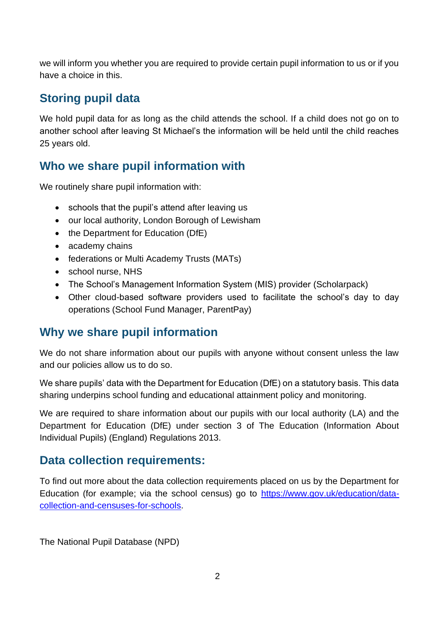we will inform you whether you are required to provide certain pupil information to us or if you have a choice in this.

# **Storing pupil data**

We hold pupil data for as long as the child attends the school. If a child does not go on to another school after leaving St Michael's the information will be held until the child reaches 25 years old.

## **Who we share pupil information with**

We routinely share pupil information with:

- schools that the pupil's attend after leaving us
- our local authority, London Borough of Lewisham
- the Department for Education (DfE)
- academy chains
- federations or Multi Academy Trusts (MATs)
- school nurse, NHS
- The School's Management Information System (MIS) provider (Scholarpack)
- Other cloud-based software providers used to facilitate the school's day to day operations (School Fund Manager, ParentPay)

## **Why we share pupil information**

We do not share information about our pupils with anyone without consent unless the law and our policies allow us to do so.

We share pupils' data with the Department for Education (DfE) on a statutory basis. This data sharing underpins school funding and educational attainment policy and monitoring.

We are required to share information about our pupils with our local authority (LA) and the Department for Education (DfE) under section 3 of The Education (Information About Individual Pupils) (England) Regulations 2013.

## **Data collection requirements:**

To find out more about the data collection requirements placed on us by the Department for Education (for example; via the school census) go to [https://www.gov.uk/education/data](https://www.gov.uk/education/data-collection-and-censuses-for-schools)[collection-and-censuses-for-schools.](https://www.gov.uk/education/data-collection-and-censuses-for-schools)

The National Pupil Database (NPD)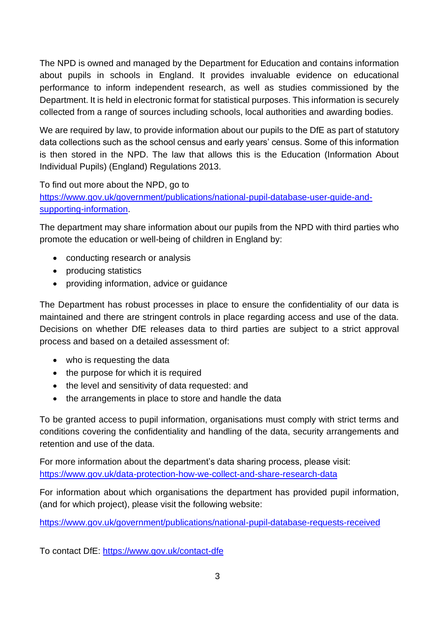The NPD is owned and managed by the Department for Education and contains information about pupils in schools in England. It provides invaluable evidence on educational performance to inform independent research, as well as studies commissioned by the Department. It is held in electronic format for statistical purposes. This information is securely collected from a range of sources including schools, local authorities and awarding bodies.

We are required by law, to provide information about our pupils to the DfE as part of statutory data collections such as the school census and early years' census. Some of this information is then stored in the NPD. The law that allows this is the Education (Information About Individual Pupils) (England) Regulations 2013.

To find out more about the NPD, go to

[https://www.gov.uk/government/publications/national-pupil-database-user-guide-and](https://www.gov.uk/government/publications/national-pupil-database-user-guide-and-supporting-information)[supporting-information.](https://www.gov.uk/government/publications/national-pupil-database-user-guide-and-supporting-information)

The department may share information about our pupils from the NPD with third parties who promote the education or well-being of children in England by:

- conducting research or analysis
- producing statistics
- providing information, advice or guidance

The Department has robust processes in place to ensure the confidentiality of our data is maintained and there are stringent controls in place regarding access and use of the data. Decisions on whether DfE releases data to third parties are subject to a strict approval process and based on a detailed assessment of:

- who is requesting the data
- the purpose for which it is required
- the level and sensitivity of data requested: and
- the arrangements in place to store and handle the data

To be granted access to pupil information, organisations must comply with strict terms and conditions covering the confidentiality and handling of the data, security arrangements and retention and use of the data.

For more information about the department's data sharing process, please visit: <https://www.gov.uk/data-protection-how-we-collect-and-share-research-data>

For information about which organisations the department has provided pupil information, (and for which project), please visit the following website:

<https://www.gov.uk/government/publications/national-pupil-database-requests-received>

To contact DfE:<https://www.gov.uk/contact-dfe>